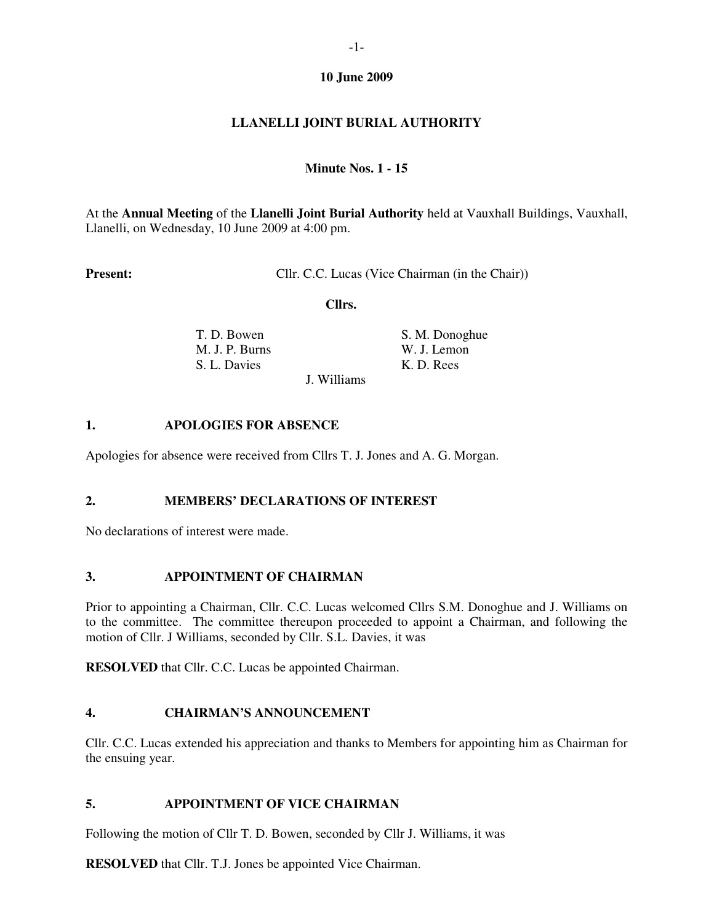## **10 June 2009**

# **LLANELLI JOINT BURIAL AUTHORITY**

#### **Minute Nos. 1 - 15**

At the **Annual Meeting** of the **Llanelli Joint Burial Authority** held at Vauxhall Buildings, Vauxhall, Llanelli, on Wednesday, 10 June 2009 at 4:00 pm.

**Present:** Cllr. C.C. Lucas (Vice Chairman (in the Chair))

 **Cllrs.** 

| T. D. Bowen    |  |
|----------------|--|
| M. J. P. Burns |  |
| S. L. Davies   |  |

**S. M. Donoghue** W. J. Lemon K. D. Rees

J. Williams

#### **1. APOLOGIES FOR ABSENCE**

Apologies for absence were received from Cllrs T. J. Jones and A. G. Morgan.

# **2. MEMBERS' DECLARATIONS OF INTEREST**

No declarations of interest were made.

#### **3. APPOINTMENT OF CHAIRMAN**

Prior to appointing a Chairman, Cllr. C.C. Lucas welcomed Cllrs S.M. Donoghue and J. Williams on to the committee. The committee thereupon proceeded to appoint a Chairman, and following the motion of Cllr. J Williams, seconded by Cllr. S.L. Davies, it was

**RESOLVED** that Cllr. C.C. Lucas be appointed Chairman.

# **4. CHAIRMAN'S ANNOUNCEMENT**

Cllr. C.C. Lucas extended his appreciation and thanks to Members for appointing him as Chairman for the ensuing year.

#### **5. APPOINTMENT OF VICE CHAIRMAN**

Following the motion of Cllr T. D. Bowen, seconded by Cllr J. Williams, it was

**RESOLVED** that Cllr. T.J. Jones be appointed Vice Chairman.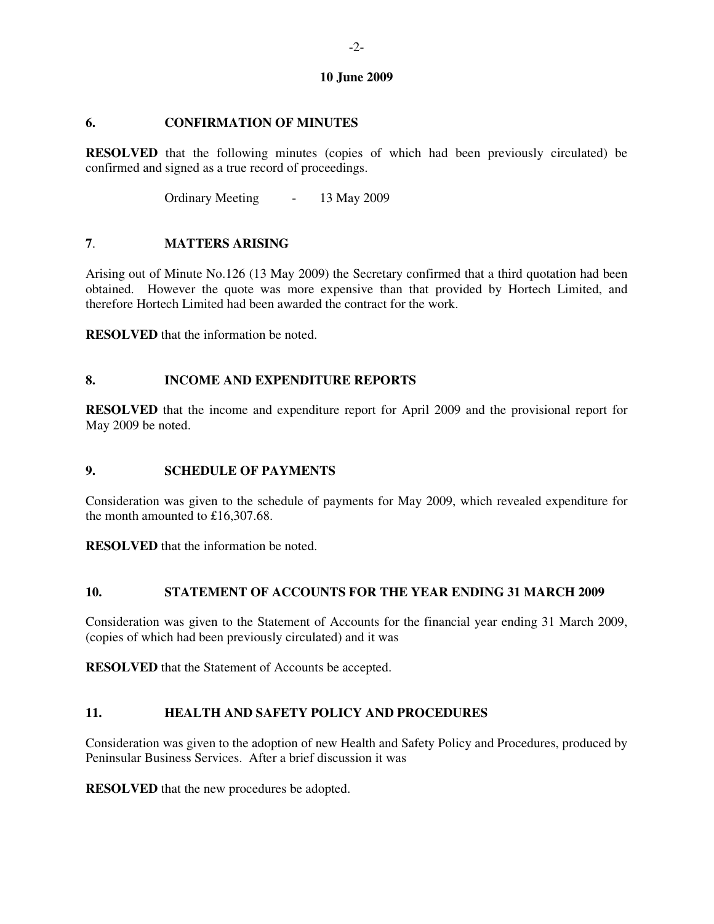#### **10 June 2009**

# **6. CONFIRMATION OF MINUTES**

**RESOLVED** that the following minutes (copies of which had been previously circulated) be confirmed and signed as a true record of proceedings.

Ordinary Meeting - 13 May 2009

## **7**. **MATTERS ARISING**

Arising out of Minute No.126 (13 May 2009) the Secretary confirmed that a third quotation had been obtained. However the quote was more expensive than that provided by Hortech Limited, and therefore Hortech Limited had been awarded the contract for the work.

**RESOLVED** that the information be noted.

## **8. INCOME AND EXPENDITURE REPORTS**

**RESOLVED** that the income and expenditure report for April 2009 and the provisional report for May 2009 be noted.

# **9. SCHEDULE OF PAYMENTS**

Consideration was given to the schedule of payments for May 2009, which revealed expenditure for the month amounted to £16,307.68.

**RESOLVED** that the information be noted.

## **10. STATEMENT OF ACCOUNTS FOR THE YEAR ENDING 31 MARCH 2009**

Consideration was given to the Statement of Accounts for the financial year ending 31 March 2009, (copies of which had been previously circulated) and it was

**RESOLVED** that the Statement of Accounts be accepted.

# **11. HEALTH AND SAFETY POLICY AND PROCEDURES**

Consideration was given to the adoption of new Health and Safety Policy and Procedures, produced by Peninsular Business Services. After a brief discussion it was

**RESOLVED** that the new procedures be adopted.